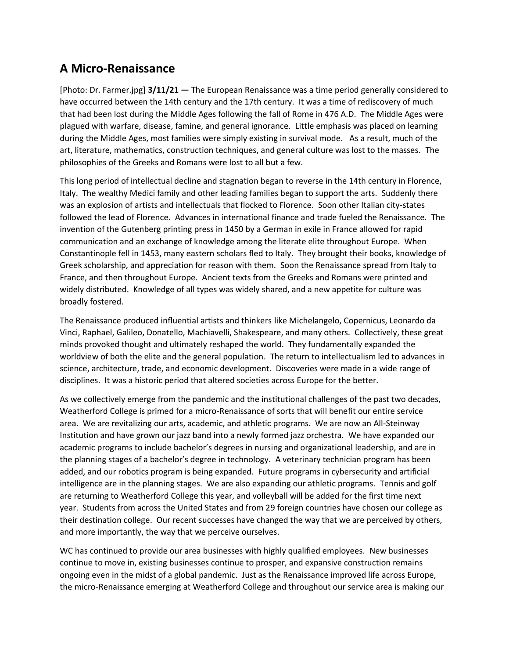## **A Micro-Renaissance**

[Photo: Dr. Farmer.jpg] **3/11/21 —** The European Renaissance was a time period generally considered to have occurred between the 14th century and the 17th century. It was a time of rediscovery of much that had been lost during the Middle Ages following the fall of Rome in 476 A.D. The Middle Ages were plagued with warfare, disease, famine, and general ignorance. Little emphasis was placed on learning during the Middle Ages, most families were simply existing in survival mode. As a result, much of the art, literature, mathematics, construction techniques, and general culture was lost to the masses. The philosophies of the Greeks and Romans were lost to all but a few.

This long period of intellectual decline and stagnation began to reverse in the 14th century in Florence, Italy. The wealthy Medici family and other leading families began to support the arts. Suddenly there was an explosion of artists and intellectuals that flocked to Florence. Soon other Italian city-states followed the lead of Florence. Advances in international finance and trade fueled the Renaissance. The invention of the Gutenberg printing press in 1450 by a German in exile in France allowed for rapid communication and an exchange of knowledge among the literate elite throughout Europe. When Constantinople fell in 1453, many eastern scholars fled to Italy. They brought their books, knowledge of Greek scholarship, and appreciation for reason with them. Soon the Renaissance spread from Italy to France, and then throughout Europe. Ancient texts from the Greeks and Romans were printed and widely distributed. Knowledge of all types was widely shared, and a new appetite for culture was broadly fostered.

The Renaissance produced influential artists and thinkers like Michelangelo, Copernicus, Leonardo da Vinci, Raphael, Galileo, Donatello, Machiavelli, Shakespeare, and many others. Collectively, these great minds provoked thought and ultimately reshaped the world. They fundamentally expanded the worldview of both the elite and the general population. The return to intellectualism led to advances in science, architecture, trade, and economic development. Discoveries were made in a wide range of disciplines. It was a historic period that altered societies across Europe for the better.

As we collectively emerge from the pandemic and the institutional challenges of the past two decades, Weatherford College is primed for a micro-Renaissance of sorts that will benefit our entire service area. We are revitalizing our arts, academic, and athletic programs. We are now an All-Steinway Institution and have grown our jazz band into a newly formed jazz orchestra. We have expanded our academic programs to include bachelor's degrees in nursing and organizational leadership, and are in the planning stages of a bachelor's degree in technology. A veterinary technician program has been added, and our robotics program is being expanded. Future programs in cybersecurity and artificial intelligence are in the planning stages. We are also expanding our athletic programs. Tennis and golf are returning to Weatherford College this year, and volleyball will be added for the first time next year. Students from across the United States and from 29 foreign countries have chosen our college as their destination college. Our recent successes have changed the way that we are perceived by others, and more importantly, the way that we perceive ourselves.

WC has continued to provide our area businesses with highly qualified employees. New businesses continue to move in, existing businesses continue to prosper, and expansive construction remains ongoing even in the midst of a global pandemic. Just as the Renaissance improved life across Europe, the micro-Renaissance emerging at Weatherford College and throughout our service area is making our